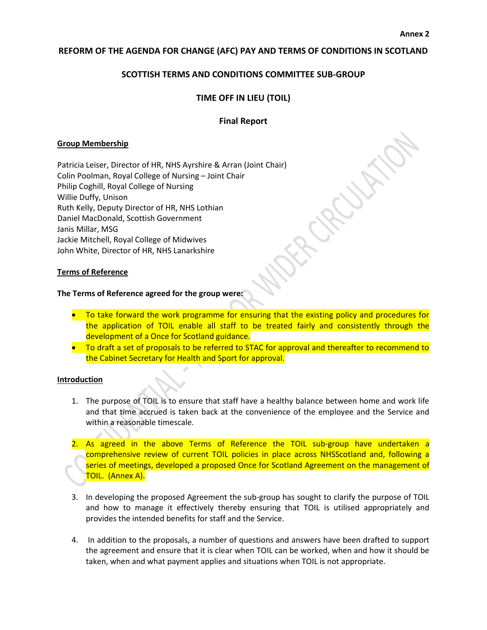## **REFORM OF THE AGENDA FOR CHANGE (AFC) PAY AND TERMS OF CONDITIONS IN SCOTLAND**

# **SCOTTISH TERMS AND CONDITIONS COMMITTEE SUB-GROUP**

# **TIME OFF IN LIEU (TOIL)**

## **Final Report**

## **Group Membership**

Patricia Leiser, Director of HR, NHS Ayrshire & Arran (Joint Chair) Colin Poolman, Royal College of Nursing – Joint Chair Philip Coghill, Royal College of Nursing Willie Duffy, Unison Ruth Kelly, Deputy Director of HR, NHS Lothian Daniel MacDonald, Scottish Government Janis Millar, MSG Jackie Mitchell, Royal College of Midwives John White, Director of HR, NHS Lanarkshire

#### **Terms of Reference**

#### **The Terms of Reference agreed for the group were:**

- To take forward the work programme for ensuring that the existing policy and procedures for the application of TOIL enable all staff to be treated fairly and consistently through the development of a Once for Scotland guidance.
- To draft a set of proposals to be referred to STAC for approval and thereafter to recommend to the Cabinet Secretary for Health and Sport for approval.

## **Introduction**

- 1. The purpose of TOIL is to ensure that staff have a healthy balance between home and work life and that time accrued is taken back at the convenience of the employee and the Service and within a reasonable timescale.
- 2. As agreed in the above Terms of Reference the TOIL sub-group have undertaken a comprehensive review of current TOIL policies in place across NHSScotland and, following a series of meetings, developed a proposed Once for Scotland Agreement on the management of TOIL. (Annex A).
- 3. In developing the proposed Agreement the sub-group has sought to clarify the purpose of TOIL and how to manage it effectively thereby ensuring that TOIL is utilised appropriately and provides the intended benefits for staff and the Service.
- 4. In addition to the proposals, a number of questions and answers have been drafted to support the agreement and ensure that it is clear when TOIL can be worked, when and how it should be taken, when and what payment applies and situations when TOIL is not appropriate.